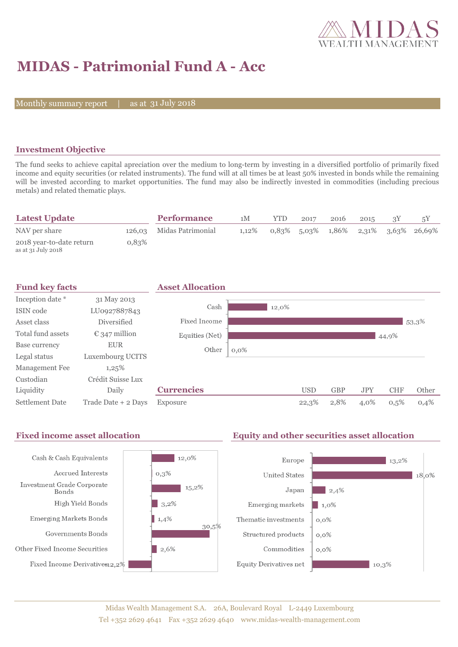

# **MIDAS - Patrimonial Fund A - Acc**

Monthly summary report

31 July 2018

# **Investment Objective**

The fund seeks to achieve capital apreciation over the medium to long-term by investing in a diversified portfolio of primarily fixed income and equity securities (or related instruments). The fund will at all times be at least 50% invested in bonds while the remaining will be invested according to market opportunities. The fund may also be indirectly invested in commodities (including precious metals) and related thematic plays.

| <b>Latest Update</b>                           |       | <b>Performance</b>       | 1M       | YTD | 2017 | 2016 | 2015 |                                         |
|------------------------------------------------|-------|--------------------------|----------|-----|------|------|------|-----------------------------------------|
| NAV per share                                  |       | 126,03 Midas Patrimonial | $1.12\%$ |     |      |      |      | $0.83\%$ 5.03% 1.86% 2.31% 3.63% 26.69% |
| 2018 year-to-date return<br>as at 31 July 2018 | 0.83% |                          |          |     |      |      |      |                                         |



#### Fixed income asset allocation **Equity and other securities asset allocation** Cash & Cash Equivalents  $12,0\%$ Europe  $\blacksquare$  13,2% Accrued Interests  $0,3%$ **United States** 18,0% Investment Grade Corporate  $15,2\%$ Japan  $\frac{1}{2,4\%}$ **Bonds** High Yield Bonds  $|3,2%$ Emerging markets  $\blacksquare$  1,0% **Emerging Markets Bonds**  $1,4%$ Thematic investments  $0,0\%$ 30,5% Governments Bonds Structured products  $0,0\%$ Other Fixed Income Securities 2,6%  $Commodities$  $0,0\%$ Fixed Income Derivatives12,2% **Equity Derivatives net**  $10,3%$

## Midas Wealth Management S.A. 26A, Boulevard Royal L-2449 Luxembourg Tel +352 2629 4641 Fax +352 2629 4640 www.midas-wealth-management.com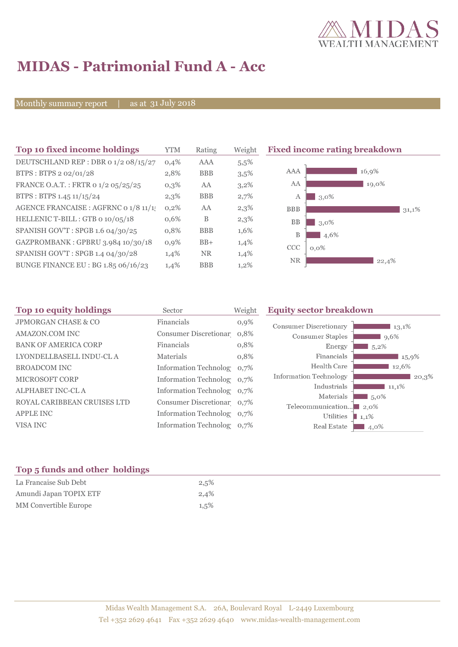![](_page_1_Picture_0.jpeg)

# **MIDAS - Patrimonial Fund A - Acc**

Monthly summary report | as at 31 July 2018

| Top 10 fixed income holdings          | YTM     | Rating     | Weight | <b>Fixed inc</b> |
|---------------------------------------|---------|------------|--------|------------------|
| DEUTSCHLAND REP : DBR 0 1/2 08/15/27  | 0,4%    | AAA        | 5,5%   |                  |
| BTPS: BTPS 2 02/01/28                 | 2,8%    | <b>BBB</b> | 3,5%   | AAA              |
| FRANCE O.A.T.: FRTR 0 1/2 05/25/25    | $0,3\%$ | AA         | 3,2%   | AA               |
| BTPS: BTPS 1.45 11/15/24              | 2,3%    | <b>BBB</b> | 2,7%   | $\mathbf{A}$     |
| AGENCE FRANCAISE : AGFRNC 0 1/8 11/1! | 0,2%    | AA         | 2,3%   | <b>BBB</b>       |
| HELLENIC T-BILL: GTB 0 10/05/18       | 0,6%    | B          | 2,3%   | BB               |
| SPANISH GOV'T: SPGB 1.6 04/30/25      | 0,8%    | <b>BBB</b> | 1,6%   | B                |
| GAZPROMBANK: GPBRU 3.984 10/30/18     | 0,9%    | $BB+$      | 1,4%   | CCC              |
| SPANISH GOV'T: SPGB 1.4 04/30/28      | 1,4%    | <b>NR</b>  | 1,4%   | NR.              |
| BUNGE FINANCE EU : BG 1.85 06/16/23   | 1,4%    | <b>BBB</b> | 1,2%   |                  |
|                                       |         |            |        |                  |

![](_page_1_Figure_5.jpeg)

| Top 10 equity holdings         | Sector                     | Weight  | <b>Equity sector breakdown</b>                                               |
|--------------------------------|----------------------------|---------|------------------------------------------------------------------------------|
| <b>JPMORGAN CHASE &amp; CO</b> | Financials                 | $0,9\%$ | <b>Consumer Discretionary</b><br>13,1%                                       |
| AMAZON.COM INC                 | Consumer Discretionar 0,8% |         | Consumer Staples<br>9,6%                                                     |
| <b>BANK OF AMERICA CORP</b>    | Financials                 | 0,8%    | Energy<br>5,2%                                                               |
| LYONDELLBASELL INDU-CL A       | Materials                  | 0,8%    | Financials<br>15,9%                                                          |
| <b>BROADCOM INC</b>            | Information Technolog 0,7% |         | Health Care<br>12,6%                                                         |
| <b>MICROSOFT CORP</b>          | Information Technolog 0,7% |         | Information Technology<br>20,3%                                              |
| <b>ALPHABET INC-CLA</b>        | Information Technolog 0,7% |         | Industrials<br>11,1%                                                         |
| ROYAL CARIBBEAN CRUISES LTD    | Consumer Discretionar 0.7% |         | Materials<br>$\blacksquare$ 5,0%                                             |
| <b>APPLE INC</b>               | Information Technolog 0,7% |         | Telecommunication<br>$\blacksquare$ 2.0%<br>Utilities<br>$\blacksquare$ 1,1% |
| VISA INC                       | Information Technolog 0,7% |         | Real Estate<br>4,0%                                                          |
|                                |                            |         |                                                                              |

# **Top 5 funds and other holdings**

| La Francaise Sub Debt  | 2,5%    |
|------------------------|---------|
| Amundi Japan TOPIX ETF | 2,4%    |
| MM Convertible Europe  | $1,5\%$ |